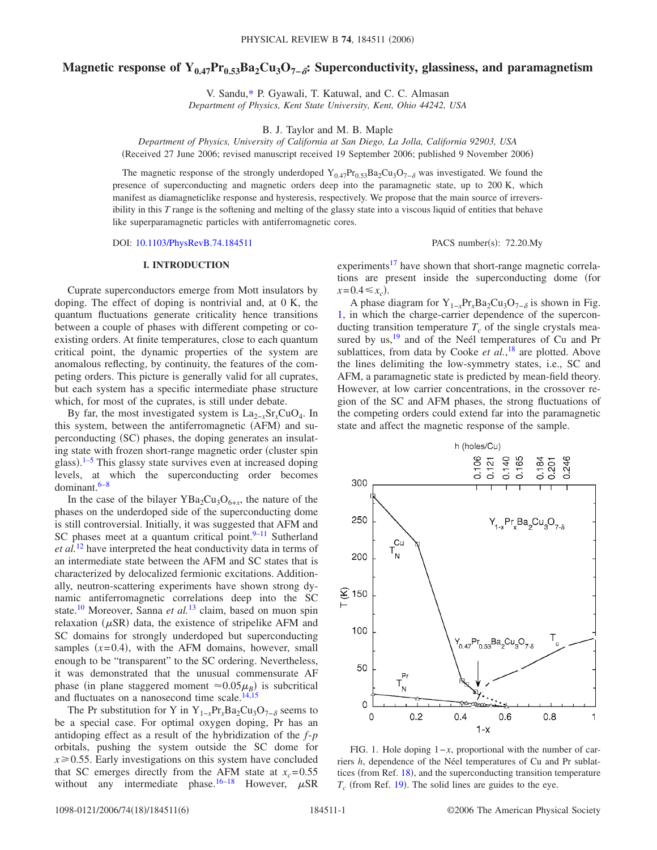# Magnetic response of Y<sub>0.47</sub>Pr<sub>0.53</sub>Ba<sub>2</sub>Cu<sub>3</sub>O<sub>7−</sub><sup>2</sup>: Superconductivity, glassiness, and paramagnetism

V. Sandu[,\\*](#page-5-0) P. Gyawali, T. Katuwal, and C. C. Almasan *Department of Physics, Kent State University, Kent, Ohio 44242, USA*

B. J. Taylor and M. B. Maple

*Department of Physics, University of California at San Diego, La Jolla, California 92903, USA* Received 27 June 2006; revised manuscript received 19 September 2006; published 9 November 2006-

The magnetic response of the strongly underdoped  $Y_{0.47}Pr_{0.53}Ba_2Cu_3O_{7-\delta}$  was investigated. We found the presence of superconducting and magnetic orders deep into the paramagnetic state, up to 200 K, which manifest as diamagneticlike response and hysteresis, respectively. We propose that the main source of irreversibility in this *T* range is the softening and melting of the glassy state into a viscous liquid of entities that behave like superparamagnetic particles with antiferromagnetic cores.

DOI: [10.1103/PhysRevB.74.184511](http://dx.doi.org/10.1103/PhysRevB.74.184511)

PACS number(s): 72.20.My

## **I. INTRODUCTION**

Cuprate superconductors emerge from Mott insulators by doping. The effect of doping is nontrivial and, at 0 K, the quantum fluctuations generate criticality hence transitions between a couple of phases with different competing or coexisting orders. At finite temperatures, close to each quantum critical point, the dynamic properties of the system are anomalous reflecting, by continuity, the features of the competing orders. This picture is generally valid for all cuprates, but each system has a specific intermediate phase structure which, for most of the cuprates, is still under debate.

By far, the most investigated system is La2−*x*Sr*x*CuO4. In this system, between the antiferromagnetic (AFM) and superconducting (SC) phases, the doping generates an insulating state with frozen short-range magnetic order (cluster spin glass).<sup>[1](#page-5-1)[–5](#page-5-2)</sup> This glassy state survives even at increased doping levels, at which the superconducting order becomes dominant[.6–](#page-5-3)[8](#page-5-4)

In the case of the bilayer  $YBa<sub>2</sub>Cu<sub>3</sub>O<sub>6+x</sub>$ , the nature of the phases on the underdoped side of the superconducting dome is still controversial. Initially, it was suggested that AFM and SC phases meet at a quantum critical point. $9-11$  Sutherland *et al.*[12](#page-5-7) have interpreted the heat conductivity data in terms of an intermediate state between the AFM and SC states that is characterized by delocalized fermionic excitations. Additionally, neutron-scattering experiments have shown strong dynamic antiferromagnetic correlations deep into the SC state[.10](#page-5-8) Moreover, Sanna *et al.*[13](#page-5-9) claim, based on muon spin relaxation  $(\mu$ SR) data, the existence of stripelike AFM and SC domains for strongly underdoped but superconducting samples  $(x=0.4)$ , with the AFM domains, however, small enough to be "transparent" to the SC ordering. Nevertheless, it was demonstrated that the unusual commensurate AF phase (in plane staggered moment  $\approx 0.05 \mu_B$ ) is subcritical and fluctuates on a nanosecond time scale. $14,15$  $14,15$ 

The Pr substitution for Y in Y<sub>1−*x*</sub>Pr<sub>*x*</sub>Ba<sub>2</sub>Cu<sub>3</sub>O<sub>7−</sub> $_{\delta}$  seems to be a special case. For optimal oxygen doping, Pr has an antidoping effect as a result of the hybridization of the *f*-*p* orbitals, pushing the system outside the SC dome for  $x \ge 0.55$ . Early investigations on this system have concluded that SC emerges directly from the AFM state at  $x_c = 0.55$ without any intermediate phase.<sup>16[–18](#page-5-13)</sup> However,  $\mu$ SR

experiments<sup>17</sup> have shown that short-range magnetic correlations are present inside the superconducting dome (for  $x=0.4 \leq x_c$ .

A phase diagram for  $Y_{1-x}Pr_xBa_2Cu_3O_{7-\delta}$  is shown in Fig. [1,](#page-0-0) in which the charge-carrier dependence of the superconducting transition temperature  $T_c$  of the single crystals measured by  $us$ ,<sup>19</sup> and of the Neél temperatures of Cu and Pr sublattices, from data by Cooke *et al.*, [18](#page-5-13) are plotted. Above the lines delimiting the low-symmetry states, i.e., SC and AFM, a paramagnetic state is predicted by mean-field theory. However, at low carrier concentrations, in the crossover region of the SC and AFM phases, the strong fluctuations of the competing orders could extend far into the paramagnetic state and affect the magnetic response of the sample.

<span id="page-0-0"></span>

FIG. 1. Hole doping 1−*x*, proportional with the number of carriers *h*, dependence of the Néel temperatures of Cu and Pr sublat-tices (from Ref. [18](#page-5-13)), and the superconducting transition temperature  $T_c$  (from Ref. [19](#page-5-15)). The solid lines are guides to the eye.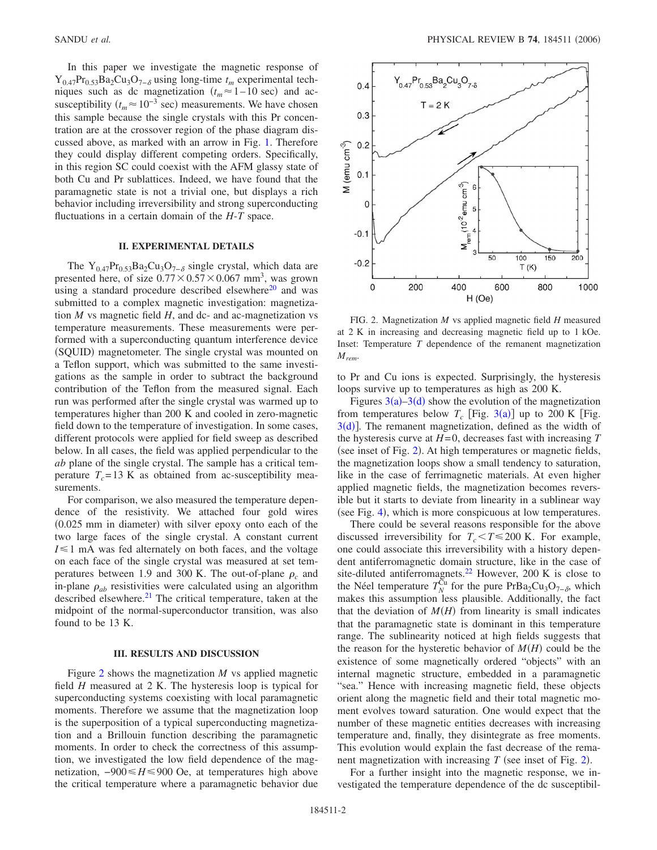In this paper we investigate the magnetic response of Y<sub>0.47</sub>Pr<sub>0.53</sub>Ba<sub>2</sub>Cu<sub>3</sub>O<sub>7−</sub><sup>8</sup> using long-time  $t_m$  experimental techniques such as dc magnetization  $(t_m \approx 1-10 \text{ sec})$  and acsusceptibility ( $t_m \approx 10^{-3}$  sec) measurements. We have chosen this sample because the single crystals with this Pr concentration are at the crossover region of the phase diagram discussed above, as marked with an arrow in Fig. [1.](#page-0-0) Therefore they could display different competing orders. Specifically, in this region SC could coexist with the AFM glassy state of both Cu and Pr sublattices. Indeed, we have found that the paramagnetic state is not a trivial one, but displays a rich behavior including irreversibility and strong superconducting fluctuations in a certain domain of the *H*-*T* space.

# **II. EXPERIMENTAL DETAILS**

The Y<sub>0.47</sub>Pr<sub>0.53</sub>Ba<sub>2</sub>Cu<sub>3</sub>O<sub>7− $\delta$ </sub> single crystal, which data are presented here, of size  $0.77 \times 0.57 \times 0.067$  mm<sup>3</sup>, was grown using a standard procedure described elsewhere<sup>20</sup> and was submitted to a complex magnetic investigation: magnetization *M* vs magnetic field *H*, and dc- and ac-magnetization vs temperature measurements. These measurements were performed with a superconducting quantum interference device (SQUID) magnetometer. The single crystal was mounted on a Teflon support, which was submitted to the same investigations as the sample in order to subtract the background contribution of the Teflon from the measured signal. Each run was performed after the single crystal was warmed up to temperatures higher than 200 K and cooled in zero-magnetic field down to the temperature of investigation. In some cases, different protocols were applied for field sweep as described below. In all cases, the field was applied perpendicular to the *ab* plane of the single crystal. The sample has a critical temperature  $T_c$ =13 K as obtained from ac-susceptibility measurements.

For comparison, we also measured the temperature dependence of the resistivity. We attached four gold wires (0.025 mm in diameter) with silver epoxy onto each of the two large faces of the single crystal. A constant current  $I \leq 1$  mA was fed alternately on both faces, and the voltage on each face of the single crystal was measured at set temperatures between 1.9 and 300 K. The out-of-plane  $\rho_c$  and in-plane  $\rho_{ab}$  resistivities were calculated using an algorithm described elsewhere.<sup>21</sup> The critical temperature, taken at the midpoint of the normal-superconductor transition, was also found to be 13 K.

#### **III. RESULTS AND DISCUSSION**

Figure [2](#page-1-0) shows the magnetization *M* vs applied magnetic field *H* measured at 2 K. The hysteresis loop is typical for superconducting systems coexisting with local paramagnetic moments. Therefore we assume that the magnetization loop is the superposition of a typical superconducting magnetization and a Brillouin function describing the paramagnetic moments. In order to check the correctness of this assumption, we investigated the low field dependence of the magnetization,  $-900 \leq H \leq 900$  Oe, at temperatures high above the critical temperature where a paramagnetic behavior due

<span id="page-1-0"></span>

FIG. 2. Magnetization *M* vs applied magnetic field *H* measured at 2 K in increasing and decreasing magnetic field up to 1 kOe. Inset: Temperature *T* dependence of the remanent magnetization *Mrem*.

to Pr and Cu ions is expected. Surprisingly, the hysteresis loops survive up to temperatures as high as 200 K.

Figures  $3(a) - 3(d)$  $3(a) - 3(d)$  show the evolution of the magnetization from temperatures below  $T_c$  [Fig. [3](#page-2-0)(a)] up to 200 K [Fig.  $3(d)$  $3(d)$ . The remanent magnetization, defined as the width of the hysteresis curve at *H*=0, decreases fast with increasing *T* (see inset of Fig. [2](#page-1-0)). At high temperatures or magnetic fields, the magnetization loops show a small tendency to saturation, like in the case of ferrimagnetic materials. At even higher applied magnetic fields, the magnetization becomes reversible but it starts to deviate from linearity in a sublinear way (see Fig. [4](#page-2-1)), which is more conspicuous at low temperatures.

There could be several reasons responsible for the above discussed irreversibility for  $T_c < T \le 200$  K. For example, one could associate this irreversibility with a history dependent antiferromagnetic domain structure, like in the case of site-diluted antiferromagnets.<sup>22</sup> However, 200 K is close to the Néel temperature  $T_N^{\overline{C}u}$  for the pure PrBa<sub>2</sub>Cu<sub>3</sub>O<sub>7– $\delta$ </sub>, which makes this assumption less plausible. Additionally, the fact that the deviation of  $M(H)$  from linearity is small indicates that the paramagnetic state is dominant in this temperature range. The sublinearity noticed at high fields suggests that the reason for the hysteretic behavior of  $M(H)$  could be the existence of some magnetically ordered "objects" with an internal magnetic structure, embedded in a paramagnetic "sea." Hence with increasing magnetic field, these objects orient along the magnetic field and their total magnetic moment evolves toward saturation. One would expect that the number of these magnetic entities decreases with increasing temperature and, finally, they disintegrate as free moments. This evolution would explain the fast decrease of the remanent magnetization with increasing  $T$  (see inset of Fig. [2](#page-1-0)).

For a further insight into the magnetic response, we investigated the temperature dependence of the dc susceptibil-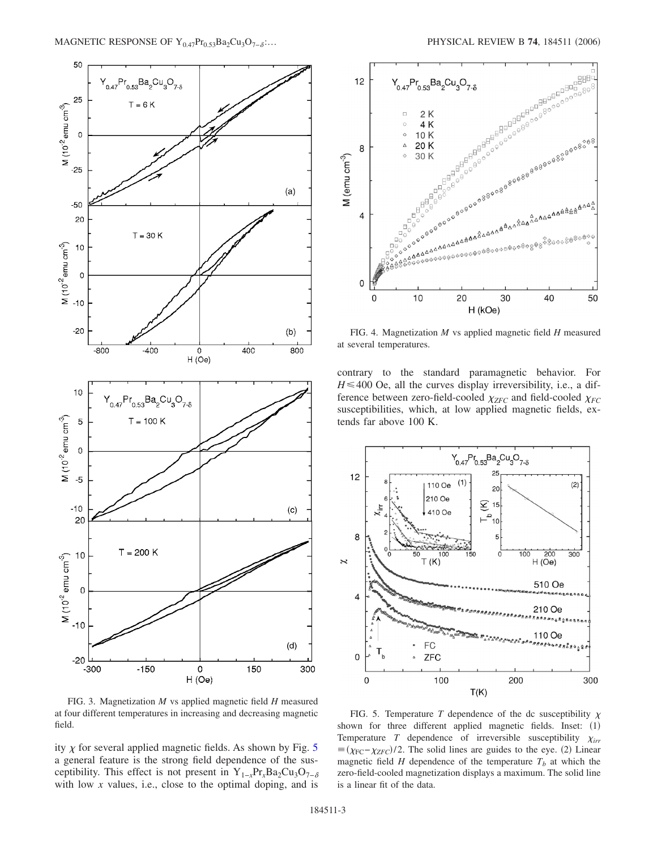<span id="page-2-0"></span>

FIG. 3. Magnetization *M* vs applied magnetic field *H* measured at four different temperatures in increasing and decreasing magnetic field.

ity  $\chi$  for several applied magnetic fields. As shown by Fig. [5](#page-2-2) a general feature is the strong field dependence of the susceptibility. This effect is not present in Y<sub>1−*x*</sub>Pr<sub>*x*</sub>Ba<sub>2</sub>Cu<sub>3</sub>O<sub>7− $\delta$ </sub> with low *x* values, i.e., close to the optimal doping, and is

<span id="page-2-1"></span>

FIG. 4. Magnetization *M* vs applied magnetic field *H* measured at several temperatures.

contrary to the standard paramagnetic behavior. For  $H \leq 400$  Oe, all the curves display irreversibility, i.e., a difference between zero-field-cooled  $\chi_{ZFC}$  and field-cooled  $\chi_{FC}$ susceptibilities, which, at low applied magnetic fields, extends far above 100 K.

<span id="page-2-2"></span>

FIG. 5. Temperature *T* dependence of the dc susceptibility  $\chi$ shown for three different applied magnetic fields. Inset: (1) Temperature *T* dependence of irreversible susceptibility  $\chi_{irr}$  $\equiv$ ( $\chi$ <sub>FC</sub>− $\chi$ <sub>ZFC</sub>)/2. The solid lines are guides to the eye. (2) Linear magnetic field *H* dependence of the temperature  $T_b$  at which the zero-field-cooled magnetization displays a maximum. The solid line is a linear fit of the data.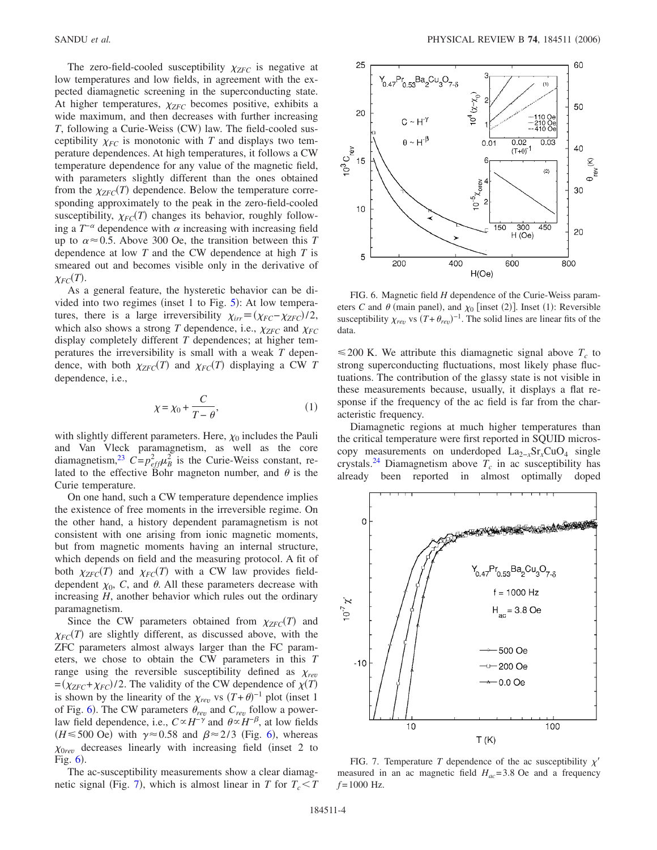The zero-field-cooled susceptibility  $\chi_{ZFC}$  is negative at low temperatures and low fields, in agreement with the expected diamagnetic screening in the superconducting state. At higher temperatures,  $\chi_{ZFC}$  becomes positive, exhibits a wide maximum, and then decreases with further increasing T, following a Curie-Weiss (CW) law. The field-cooled susceptibility  $\chi_{FC}$  is monotonic with *T* and displays two temperature dependences. At high temperatures, it follows a CW temperature dependence for any value of the magnetic field, with parameters slightly different than the ones obtained from the  $\chi_{ZFC}(T)$  dependence. Below the temperature corresponding approximately to the peak in the zero-field-cooled susceptibility,  $\chi_{FC}(T)$  changes its behavior, roughly following a  $T^{-\alpha}$  dependence with  $\alpha$  increasing with increasing field up to  $\alpha \approx 0.5$ . Above 300 Oe, the transition between this *T* dependence at low *T* and the CW dependence at high *T* is smeared out and becomes visible only in the derivative of  $\chi_{FC}(T)$ .

As a general feature, the hysteretic behavior can be divided into two regimes (inset 1 to Fig.  $5$ ): At low temperatures, there is a large irreversibility  $\chi_{irr} = (\chi_{FC} - \chi_{ZFC})/2$ , which also shows a strong *T* dependence, i.e.,  $\chi_{ZFC}$  and  $\chi_{FC}$ display completely different *T* dependences; at higher temperatures the irreversibility is small with a weak *T* dependence, with both  $\chi_{ZFC}(T)$  and  $\chi_{FC}(T)$  displaying a CW *T* dependence, i.e.,

$$
\chi = \chi_0 + \frac{C}{T - \theta},\tag{1}
$$

with slightly different parameters. Here,  $\chi_0$  includes the Pauli and Van Vleck paramagnetism, as well as the core diamagnetism,<sup>23</sup>  $C = p_{eff}^2 \mu_B^2$  is the Curie-Weiss constant, related to the effective Bohr magneton number, and  $\theta$  is the Curie temperature.

On one hand, such a CW temperature dependence implies the existence of free moments in the irreversible regime. On the other hand, a history dependent paramagnetism is not consistent with one arising from ionic magnetic moments, but from magnetic moments having an internal structure, which depends on field and the measuring protocol. A fit of both  $\chi_{ZFC}(T)$  and  $\chi_{FC}(T)$  with a CW law provides fielddependent  $\chi_0$ , *C*, and  $\theta$ . All these parameters decrease with increasing *H*, another behavior which rules out the ordinary paramagnetism.

Since the CW parameters obtained from  $\chi_{ZFC}(T)$  and  $\chi_{FC}(T)$  are slightly different, as discussed above, with the ZFC parameters almost always larger than the FC parameters, we chose to obtain the CW parameters in this *T* range using the reversible susceptibility defined as  $\chi_{rev}$  $\frac{Z}{ZF} = \frac{\gamma_{ZFC} + \gamma_{FC}}{2}$ . The validity of the CW dependence of  $\chi(T)$ is shown by the linearity of the  $\chi_{rev}$  vs  $(T+\theta)^{-1}$  plot (inset 1) of Fig. [6](#page-3-0)). The CW parameters  $\theta_{rev}$  and  $C_{rev}$  follow a powerlaw field dependence, i.e.,  $C \propto H^{-\gamma}$  and  $\theta \propto H^{-\beta}$ , at low fields  $(H \le 500 \text{ Oe})$  with  $\gamma \approx 0.58$  and  $\beta \approx 2/3$  (Fig. [6](#page-3-0)), whereas  $\chi_{0rev}$  decreases linearly with increasing field (inset 2 to Fig.  $6$ ).

The ac-susceptibility measurements show a clear diamag-netic signal (Fig. [7](#page-3-1)), which is almost linear in *T* for  $T_c < T$ 

<span id="page-3-0"></span>

FIG. 6. Magnetic field *H* dependence of the Curie-Weiss parameters *C* and  $\theta$  (main panel), and  $\chi_0$  [inset (2)]. Inset (1): Reversible susceptibility  $\chi_{rev}$  vs  $(T + \theta_{rev})^{-1}$ . The solid lines are linear fits of the data.

 $\leq$  200 K. We attribute this diamagnetic signal above  $T_c$  to strong superconducting fluctuations, most likely phase fluctuations. The contribution of the glassy state is not visible in these measurements because, usually, it displays a flat response if the frequency of the ac field is far from the characteristic frequency.

Diamagnetic regions at much higher temperatures than the critical temperature were first reported in SQUID microscopy measurements on underdoped La2−*x*Sr*x*CuO4 single crystals.<sup>24</sup> Diamagnetism above  $T_c$  in ac susceptibility has already been reported in almost optimally doped

<span id="page-3-1"></span>

FIG. 7. Temperature *T* dependence of the ac susceptibility  $\chi'$ measured in an ac magnetic field  $H_{ac}$ =3.8 Oe and a frequency  $f = 1000$  Hz.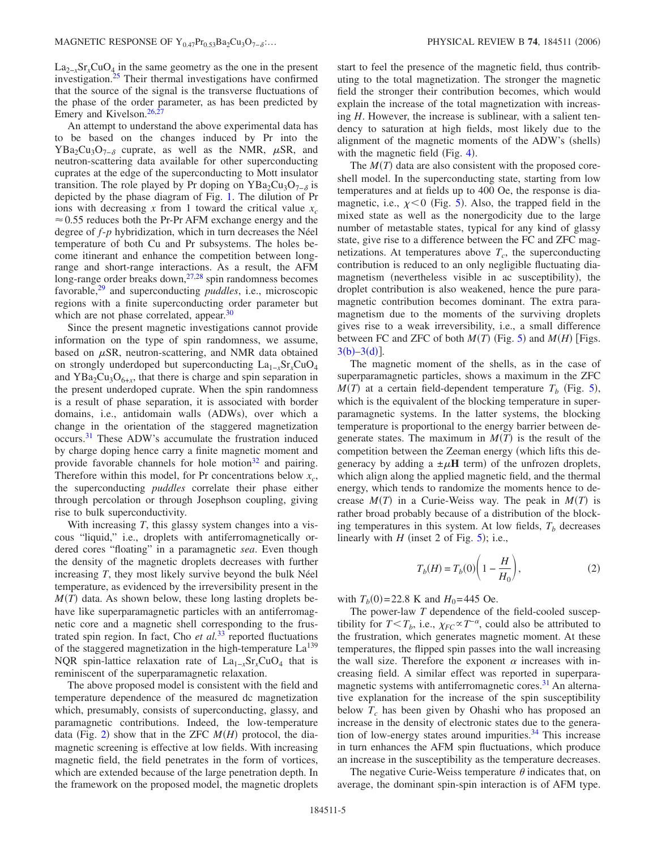$La_{2-x}Sr_xCuO_4$  in the same geometry as the one in the present investigation. $25$  Their thermal investigations have confirmed that the source of the signal is the transverse fluctuations of the phase of the order parameter, as has been predicted by Emery and Kivelson. $26$ ,

An attempt to understand the above experimental data has to be based on the changes induced by Pr into the  $YBa_2Cu_3O_{7-\delta}$  cuprate, as well as the NMR,  $\mu SR$ , and neutron-scattering data available for other superconducting cuprates at the edge of the superconducting to Mott insulator transition. The role played by Pr doping on YBa<sub>2</sub>Cu<sub>3</sub>O<sub>7−8</sub> is depicted by the phase diagram of Fig. [1.](#page-0-0) The dilution of Pr ions with decreasing x from 1 toward the critical value  $x_c$  $\approx 0.55$  reduces both the Pr-Pr AFM exchange energy and the degree of *f*-*p* hybridization, which in turn decreases the Néel temperature of both Cu and Pr subsystems. The holes become itinerant and enhance the competition between longrange and short-range interactions. As a result, the AFM long-range order breaks down,<sup>27,[28](#page-5-24)</sup> spin randomness becomes favorable[,29](#page-5-25) and superconducting *puddles*, i.e., microscopic regions with a finite superconducting order parameter but which are not phase correlated, appear.<sup>30</sup>

Since the present magnetic investigations cannot provide information on the type of spin randomness, we assume, based on  $\mu$ SR, neutron-scattering, and NMR data obtained on strongly underdoped but superconducting La<sub>1−*x*</sub>Sr<sub>*x*</sub>CuO<sub>4</sub> and  $YBa<sub>2</sub>Cu<sub>3</sub>O<sub>6+x</sub>$ , that there is charge and spin separation in the present underdoped cuprate. When the spin randomness is a result of phase separation, it is associated with border domains, i.e., antidomain walls (ADWs), over which a change in the orientation of the staggered magnetization occurs[.31](#page-5-27) These ADW's accumulate the frustration induced by charge doping hence carry a finite magnetic moment and provide favorable channels for hole motion $32$  and pairing. Therefore within this model, for Pr concentrations below  $x_c$ , the superconducting *puddles* correlate their phase either through percolation or through Josephson coupling, giving rise to bulk superconductivity.

With increasing *T*, this glassy system changes into a viscous "liquid," i.e., droplets with antiferromagnetically ordered cores "floating" in a paramagnetic *sea*. Even though the density of the magnetic droplets decreases with further increasing *T*, they most likely survive beyond the bulk Néel temperature, as evidenced by the irreversibility present in the  $M(T)$  data. As shown below, these long lasting droplets behave like superparamagnetic particles with an antiferromagnetic core and a magnetic shell corresponding to the frustrated spin region. In fact, Cho *et al.*[33](#page-5-29) reported fluctuations of the staggered magnetization in the high-temperature  $La<sup>139</sup>$ NQR spin-lattice relaxation rate of La1−*x*Sr*x*CuO4 that is reminiscent of the superparamagnetic relaxation.

The above proposed model is consistent with the field and temperature dependence of the measured dc magnetization which, presumably, consists of superconducting, glassy, and paramagnetic contributions. Indeed, the low-temperature data (Fig. [2](#page-1-0)) show that in the ZFC  $M(H)$  protocol, the diamagnetic screening is effective at low fields. With increasing magnetic field, the field penetrates in the form of vortices, which are extended because of the large penetration depth. In the framework on the proposed model, the magnetic droplets start to feel the presence of the magnetic field, thus contributing to the total magnetization. The stronger the magnetic field the stronger their contribution becomes, which would explain the increase of the total magnetization with increasing *H*. However, the increase is sublinear, with a salient tendency to saturation at high fields, most likely due to the alignment of the magnetic moments of the ADW's (shells) with the magnetic field (Fig.  $4$ ).

The  $M(T)$  data are also consistent with the proposed coreshell model. In the superconducting state, starting from low temperatures and at fields up to 400 Oe, the response is diamagnetic, i.e.,  $\chi$ <0 (Fig. [5](#page-2-2)). Also, the trapped field in the mixed state as well as the nonergodicity due to the large number of metastable states, typical for any kind of glassy state, give rise to a difference between the FC and ZFC magnetizations. At temperatures above  $T_c$ , the superconducting contribution is reduced to an only negligible fluctuating diamagnetism (nevertheless visible in ac susceptibility), the droplet contribution is also weakened, hence the pure paramagnetic contribution becomes dominant. The extra paramagnetism due to the moments of the surviving droplets gives rise to a weak irreversibility, i.e., a small difference between FC and ZFC of both  $M(T)$  (Fig. [5](#page-2-2)) and  $M(H)$  [Figs.  $3(b) - 3(d)$  $3(b) - 3(d)$ ].

The magnetic moment of the shells, as in the case of superparamagnetic particles, shows a maximum in the ZFC  $M(T)$  at a certain field-dependent temperature  $T_b$  (Fig. [5](#page-2-2)), which is the equivalent of the blocking temperature in superparamagnetic systems. In the latter systems, the blocking temperature is proportional to the energy barrier between degenerate states. The maximum in  $M(T)$  is the result of the competition between the Zeeman energy (which lifts this degeneracy by adding a  $\pm \mu$ **H** term) of the unfrozen droplets, which align along the applied magnetic field, and the thermal energy, which tends to randomize the moments hence to decrease  $M(T)$  in a Curie-Weiss way. The peak in  $M(T)$  is rather broad probably because of a distribution of the blocking temperatures in this system. At low fields,  $T<sub>b</sub>$  decreases linearly with  $H$  (inset 2 of Fig. [5](#page-2-2)); i.e.,

$$
T_b(H) = T_b(0) \left( 1 - \frac{H}{H_0} \right),
$$
 (2)

with  $T_b(0) = 22.8$  K and  $H_0 = 445$  Oe.

The power-law *T* dependence of the field-cooled susceptibility for  $T < T_b$ , i.e.,  $\chi_{FC} \propto T^{-\alpha}$ , could also be attributed to the frustration, which generates magnetic moment. At these temperatures, the flipped spin passes into the wall increasing the wall size. Therefore the exponent  $\alpha$  increases with increasing field. A similar effect was reported in superparamagnetic systems with antiferromagnetic cores.<sup>31</sup> An alternative explanation for the increase of the spin susceptibility below  $T_c$  has been given by Ohashi who has proposed an increase in the density of electronic states due to the generation of low-energy states around impurities. $34$  This increase in turn enhances the AFM spin fluctuations, which produce an increase in the susceptibility as the temperature decreases.

The negative Curie-Weiss temperature  $\theta$  indicates that, on average, the dominant spin-spin interaction is of AFM type.